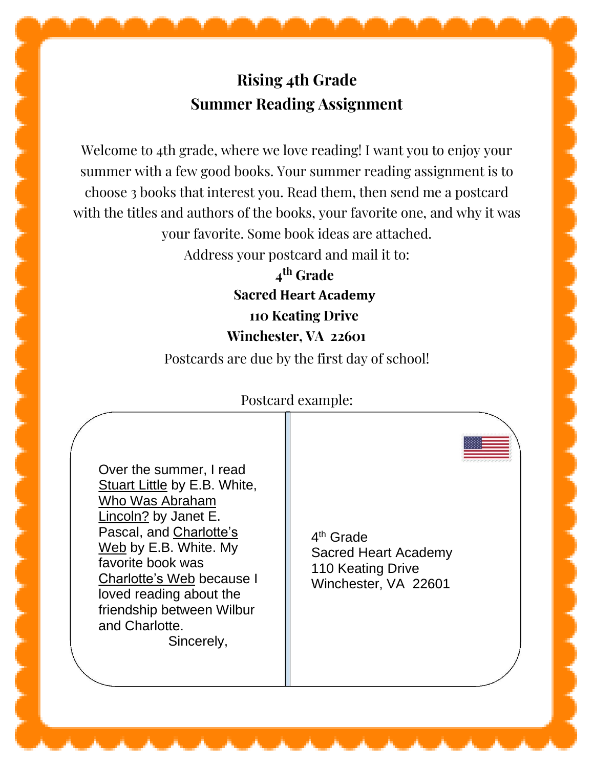## **Rising 4th Grade Summer Reading Assignment**

Welcome to 4th grade, where we love reading! I want you to enjoy your summer with a few good books. Your summer reading assignment is to choose 3 books that interest you. Read them, then send me a postcard with the titles and authors of the books, your favorite one, and why it was your favorite. Some book ideas are attached.

Address your postcard and mail it to:

**4 th Grade Sacred Heart Academy 110 Keating Drive Winchester, VA 22601**

Postcards are due by the first day of school!

## Postcard example:

Over the summer, I read **Stuart Little by E.B. White,** Who Was Abraham Lincoln? by Janet E. Pascal, and Charlotte's Web by E.B. White. My favorite book was Charlotte's Web because I loved reading about the friendship between Wilbur and Charlotte. Sincerely,

4<sup>th</sup> Grade Sacred Heart Academy 110 Keating Drive Winchester, VA 22601